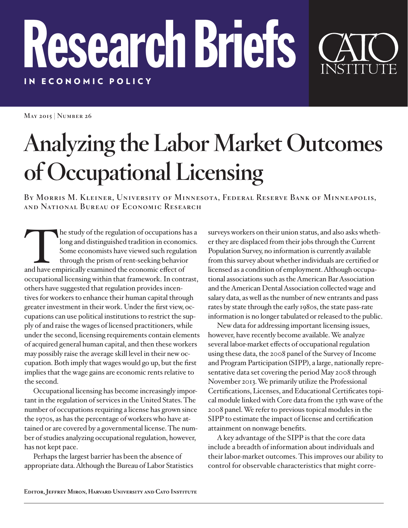## IN ECONOMIC POLICY IN ECONOMIC POLICY Research Briefs

**May 2015 | Number 26**

## **Analyzing the Labor Market Outcomes of Occupational Licensing**

**By Morris M. Kleiner, University of Minnesota, Federal Reserve Bank of Minneapolis, and National Bureau of Economic Research**

The study of the regulation of occupations has a<br>long and distinguished tradition in economics.<br>Some economists have viewed such regulation<br>through the prism of rent-seeking behavior<br>and have empirically examined the econo long and distinguished tradition in economics. Some economists have viewed such regulation through the prism of rent-seeking behavior and have empirically examined the economic effect of occupational licensing within that framework. In contrast, others have suggested that regulation provides incentives for workers to enhance their human capital through greater investment in their work. Under the first view, occupations can use political institutions to restrict the supply of and raise the wages of licensed practitioners, while under the second, licensing requirements contain elements of acquired general human capital, and then these workers may possibly raise the average skill level in their new occupation. Both imply that wages would go up, but the first implies that the wage gains are economic rents relative to the second.

Occupational licensing has become increasingly important in the regulation of services in the United States. The number of occupations requiring a license has grown since the 1970s, as has the percentage of workers who have attained or are covered by a governmental license. The number of studies analyzing occupational regulation, however, has not kept pace.

Perhaps the largest barrier has been the absence of appropriate data. Although the Bureau of Labor Statistics surveys workers on their union status, and also asks whether they are displaced from their jobs through the Current Population Survey, no information is currently available from this survey about whether individuals are certified or licensed as a condition of employment. Although occupational associations such as the American Bar Association and the American Dental Association collected wage and salary data, as well as the number of new entrants and pass rates by state through the early 1980s, the state pass-rate information is no longer tabulated or released to the public.

New data for addressing important licensing issues, however, have recently become available. We analyze several labor-market effects of occupational regulation using these data, the 2008 panel of the Survey of Income and Program Participation (SIPP), a large, nationally representative data set covering the period May 2008 through November 2013. We primarily utilize the Professional Certifications, Licenses, and Educational Certificates topical module linked with Core data from the 13th wave of the 2008 panel. We refer to previous topical modules in the SIPP to estimate the impact of license and certification attainment on nonwage benefits.

A key advantage of the SIPP is that the core data include a breadth of information about individuals and their labor-market outcomes. This improves our ability to control for observable characteristics that might corre